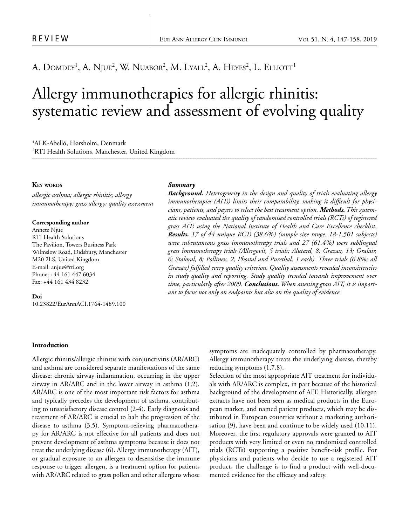# A. Domdey<sup>1</sup>, A. Njue<sup>2</sup>, W. Nuabor<sup>2</sup>, M. Lyall<sup>2</sup>, A. Heyes<sup>2</sup>, L. Elliott<sup>1</sup>

# Allergy immunotherapies for allergic rhinitis: systematic review and assessment of evolving quality

1 ALK-Abelló, Hørsholm, Denmark 2 RTI Health Solutions, Manchester, United Kingdom

# **Key words**

*allergic asthma; allergic rhinitis; allergy immunotherapy; grass allergy; quality assessment*

#### **Corresponding author**

Annete Njue RTI Health Solutions The Pavilion, Towers Business Park Wilmslow Road, Didsbury, Manchester M20 2LS, United Kingdom E-mail: anjue@rti.org Phone: +44 161 447 6034 Fax: +44 161 434 8232

### **Doi**

10.23822/EurAnnACI.1764-1489.100

#### *Summary*

*Background. Heterogeneity in the design and quality of trials evaluating allergy immunotherapies (AITs) limits their comparability, making it difficult for physicians, patients, and payers to select the best treatment option. Methods. This systematic review evaluated the quality of randomised controlled trials (RCTs) of registered grass AITs using the National Institute of Health and Care Excellence checklist. Results. 17 of 44 unique RCTs (38.6%) (sample size range: 18-1,501 subjects) were subcutaneous grass immunotherapy trials and 27 (61.4%) were sublingual grass immunotherapy trials (Allergovit, 5 trials; Alutard, 8; Grazax, 13; Oralair, 6; Staloral, 8; Pollinex, 2; Phostal and Purethal, 1 each). Three trials (6.8%; all Grazax) fulfilled every quality criterion. Quality assessments revealed inconsistencies in study quality and reporting. Study quality trended towards improvement over time, particularly after 2009. Conclusions. When assessing grass AIT, it is important to focus not only on endpoints but also on the quality of evidence.*

#### **Introduction**

Allergic rhinitis/allergic rhinitis with conjunctivitis (AR/ARC) and asthma are considered separate manifestations of the same disease: chronic airway inflammation, occurring in the upper airway in AR/ARC and in the lower airway in asthma (1,2). AR/ARC is one of the most important risk factors for asthma and typically precedes the development of asthma, contributing to unsatisfactory disease control (2-4). Early diagnosis and treatment of AR/ARC is crucial to halt the progression of the disease to asthma (3,5). Symptom-relieving pharmacotherapy for AR/ARC is not effective for all patients and does not prevent development of asthma symptoms because it does not treat the underlying disease (6). Allergy immunotherapy (AIT), or gradual exposure to an allergen to desensitise the immune response to trigger allergen, is a treatment option for patients with AR/ARC related to grass pollen and other allergens whose symptoms are inadequately controlled by pharmacotherapy. Allergy immunotherapy treats the underlying disease, thereby reducing symptoms (1,7,8).

Selection of the most appropriate AIT treatment for individuals with AR/ARC is complex, in part because of the historical background of the development of AIT. Historically, allergen extracts have not been seen as medical products in the European market, and named patient products, which may be distributed in European countries without a marketing authorisation (9), have been and continue to be widely used (10,11). Moreover, the first regulatory approvals were granted to AIT products with very limited or even no randomised controlled trials (RCTs) supporting a positive benefit-risk profile. For physicians and patients who decide to use a registered AIT product, the challenge is to find a product with well-documented evidence for the efficacy and safety.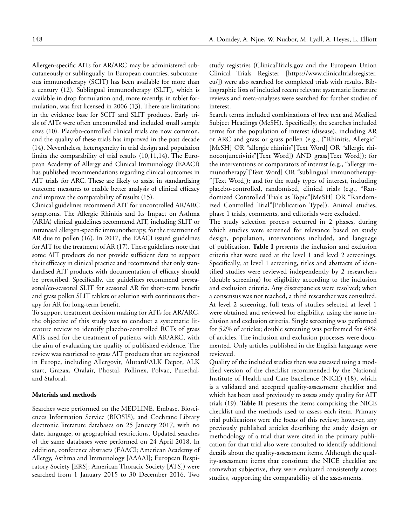Allergen-specific AITs for AR/ARC may be administered subcutaneously or sublingually. In European countries, subcutaneous immunotherapy (SCIT) has been available for more than a century (12). Sublingual immunotherapy (SLIT), which is available in drop formulation and, more recently, in tablet formulation, was first licensed in 2006 (13). There are limitations in the evidence base for SCIT and SLIT products. Early trials of AITs were often uncontrolled and included small sample sizes (10). Placebo-controlled clinical trials are now common, and the quality of these trials has improved in the past decade (14). Nevertheless, heterogeneity in trial design and population limits the comparability of trial results (10,11,14). The European Academy of Allergy and Clinical Immunology (EAACI) has published recommendations regarding clinical outcomes in AIT trials for ARC. These are likely to assist in standardising outcome measures to enable better analysis of clinical efficacy and improve the comparability of results (15).

Clinical guidelines recommend AIT for uncontrolled AR/ARC symptoms. The Allergic Rhinitis and Its Impact on Asthma (ARIA) clinical guidelines recommend AIT, including SLIT or intranasal allergen-specific immunotherapy, for the treatment of AR due to pollen (16). In 2017, the EAACI issued guidelines for AIT for the treatment of AR (17). These guidelines note that some AIT products do not provide sufficient data to support their efficacy in clinical practice and recommend that only standardised AIT products with documentation of efficacy should be prescribed. Specifically, the guidelines recommend preseasonal/co-seasonal SLIT for seasonal AR for short-term benefit and grass pollen SLIT tablets or solution with continuous therapy for AR for long-term benefit.

To support treatment decision making for AITs for AR/ARC, the objective of this study was to conduct a systematic literature review to identify placebo-controlled RCTs of grass AITs used for the treatment of patients with AR/ARC, with the aim of evaluating the quality of published evidence. The review was restricted to grass AIT products that are registered in Europe, including Allergovit, Alutard/ALK Depot, ALK start, Grazax, Oralair, Phostal, Pollinex, Polvac, Purethal, and Staloral.

# **Materials and methods**

Searches were performed on the MEDLINE, Embase, Biosciences Information Service (BIOSIS), and Cochrane Library electronic literature databases on 25 January 2017, with no date, language, or geographical restrictions. Updated searches of the same databases were performed on 24 April 2018. In addition, conference abstracts (EAACI; American Academy of Allergy, Asthma and Immunology [AAAAI]; European Respiratory Society [ERS]; American Thoracic Society [ATS]) were searched from 1 January 2015 to 30 December 2016. Two

study registries (ClinicalTrials.gov and the European Union Clinical Trials Register [https://www.clinicaltrialsregister. eu/]) were also searched for completed trials with results. Bibliographic lists of included recent relevant systematic literature reviews and meta-analyses were searched for further studies of interest.

Search terms included combinations of free text and Medical Subject Headings (MeSH). Specifically, the searches included terms for the population of interest (disease), including AR or ARC and grass or grass pollen (e.g., ("Rhinitis, Allergic" [MeSH] OR "allergic rhinitis"[Text Word] OR "allergic rhinoconjunctivitis"[Text Word]) AND grass[Text Word]); for the interventions or comparators of interest (e.g., "allergy immunotherapy"[Text Word] OR "sublingual immunotherapy- "[Text Word]); and for the study types of interest, including placebo-controlled, randomised, clinical trials (e.g., "Randomized Controlled Trials as Topic"[MeSH] OR "Randomized Controlled Trial"[Publication Type]). Animal studies, phase 1 trials, comments, and editorials were excluded.

The study selection process occurred in 2 phases, during which studies were screened for relevance based on study design, population, interventions included, and language of publication. **Table I** presents the inclusion and exclusion criteria that were used at the level 1 and level 2 screenings. Specifically, at level 1 screening, titles and abstracts of identified studies were reviewed independently by 2 researchers (double screening) for eligibility according to the inclusion and exclusion criteria. Any discrepancies were resolved; when a consensus was not reached, a third researcher was consulted. At level 2 screening, full texts of studies selected at level 1 were obtained and reviewed for eligibility, using the same inclusion and exclusion criteria. Single screening was performed for 52% of articles; double screening was performed for 48% of articles. The inclusion and exclusion processes were documented. Only articles published in the English language were reviewed.

Quality of the included studies then was assessed using a modified version of the checklist recommended by the National Institute of Health and Care Excellence (NICE) (18), which is a validated and accepted quality-assessment checklist and which has been used previously to assess study quality for AIT trials (19). **Table II** presents the items comprising the NICE checklist and the methods used to assess each item. Primary trial publications were the focus of this review; however, any previously published articles describing the study design or methodology of a trial that were cited in the primary publication for that trial also were consulted to identify additional details about the quality-assessment items. Although the quality-assessment items that constitute the NICE checklist are somewhat subjective, they were evaluated consistently across studies, supporting the comparability of the assessments.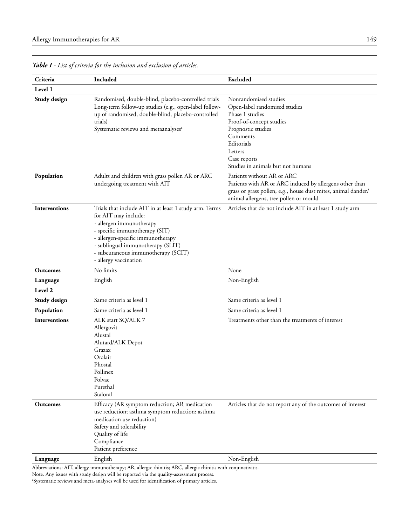| Level 1<br>Nonrandomised studies<br>Study design<br>Randomised, double-blind, placebo-controlled trials<br>Long-term follow-up studies (e.g., open-label follow-<br>Open-label randomised studies<br>Phase 1 studies<br>up of randomised, double-blind, placebo-controlled<br>Proof-of-concept studies<br>trials)<br>Prognostic studies<br>Systematic reviews and metaanalyses <sup>a</sup><br>Comments<br>Editorials<br>Letters<br>Case reports<br>Studies in animals but not humans<br>Patients without AR or ARC<br>Population<br>Adults and children with grass pollen AR or ARC<br>Patients with AR or ARC induced by allergens other than<br>undergoing treatment with AIT<br>grass or grass pollen, e.g., house dust mites, animal dander/<br>animal allergens, tree pollen or mould<br>Interventions<br>Trials that include AIT in at least 1 study arm. Terms<br>Articles that do not include AIT in at least 1 study arm<br>for AIT may include:<br>- allergen immunotherapy<br>- specific immunotherapy (SIT)<br>- allergen-specific immunotherapy<br>- sublingual immunotherapy (SLIT)<br>- subcutaneous immunotherapy (SCIT)<br>- allergy vaccination<br>No limits<br>None<br><b>Outcomes</b><br>Non-English<br>English<br>Language<br>Level 2<br>Same criteria as level 1<br>Same criteria as level 1<br>Study design<br>Population<br>Same criteria as level 1<br>Same criteria as level 1<br><b>Interventions</b><br>Treatments other than the treatments of interest<br>ALK start SQ/ALK 7<br>Allergovit<br>Alustal<br>Alutard/ALK Depot<br>Grazax<br>Oralair<br>Phostal<br>Pollinex<br>Polvac<br>Purethal<br>Staloral<br>Efficacy (AR symptom reduction; AR medication<br>Articles that do not report any of the outcomes of interest<br><b>Outcomes</b><br>use reduction; asthma symptom reduction; asthma<br>medication use reduction)<br>Safety and tolerability<br>Quality of life<br>Compliance<br>Patient preference<br>English<br>Non-English<br>Language | Criteria | Included | <b>Excluded</b> |
|------------------------------------------------------------------------------------------------------------------------------------------------------------------------------------------------------------------------------------------------------------------------------------------------------------------------------------------------------------------------------------------------------------------------------------------------------------------------------------------------------------------------------------------------------------------------------------------------------------------------------------------------------------------------------------------------------------------------------------------------------------------------------------------------------------------------------------------------------------------------------------------------------------------------------------------------------------------------------------------------------------------------------------------------------------------------------------------------------------------------------------------------------------------------------------------------------------------------------------------------------------------------------------------------------------------------------------------------------------------------------------------------------------------------------------------------------------------------------------------------------------------------------------------------------------------------------------------------------------------------------------------------------------------------------------------------------------------------------------------------------------------------------------------------------------------------------------------------------------------------------------------------------------------------------------------------------------------------------------|----------|----------|-----------------|
|                                                                                                                                                                                                                                                                                                                                                                                                                                                                                                                                                                                                                                                                                                                                                                                                                                                                                                                                                                                                                                                                                                                                                                                                                                                                                                                                                                                                                                                                                                                                                                                                                                                                                                                                                                                                                                                                                                                                                                                    |          |          |                 |
|                                                                                                                                                                                                                                                                                                                                                                                                                                                                                                                                                                                                                                                                                                                                                                                                                                                                                                                                                                                                                                                                                                                                                                                                                                                                                                                                                                                                                                                                                                                                                                                                                                                                                                                                                                                                                                                                                                                                                                                    |          |          |                 |
|                                                                                                                                                                                                                                                                                                                                                                                                                                                                                                                                                                                                                                                                                                                                                                                                                                                                                                                                                                                                                                                                                                                                                                                                                                                                                                                                                                                                                                                                                                                                                                                                                                                                                                                                                                                                                                                                                                                                                                                    |          |          |                 |
|                                                                                                                                                                                                                                                                                                                                                                                                                                                                                                                                                                                                                                                                                                                                                                                                                                                                                                                                                                                                                                                                                                                                                                                                                                                                                                                                                                                                                                                                                                                                                                                                                                                                                                                                                                                                                                                                                                                                                                                    |          |          |                 |
|                                                                                                                                                                                                                                                                                                                                                                                                                                                                                                                                                                                                                                                                                                                                                                                                                                                                                                                                                                                                                                                                                                                                                                                                                                                                                                                                                                                                                                                                                                                                                                                                                                                                                                                                                                                                                                                                                                                                                                                    |          |          |                 |
|                                                                                                                                                                                                                                                                                                                                                                                                                                                                                                                                                                                                                                                                                                                                                                                                                                                                                                                                                                                                                                                                                                                                                                                                                                                                                                                                                                                                                                                                                                                                                                                                                                                                                                                                                                                                                                                                                                                                                                                    |          |          |                 |
|                                                                                                                                                                                                                                                                                                                                                                                                                                                                                                                                                                                                                                                                                                                                                                                                                                                                                                                                                                                                                                                                                                                                                                                                                                                                                                                                                                                                                                                                                                                                                                                                                                                                                                                                                                                                                                                                                                                                                                                    |          |          |                 |
|                                                                                                                                                                                                                                                                                                                                                                                                                                                                                                                                                                                                                                                                                                                                                                                                                                                                                                                                                                                                                                                                                                                                                                                                                                                                                                                                                                                                                                                                                                                                                                                                                                                                                                                                                                                                                                                                                                                                                                                    |          |          |                 |
|                                                                                                                                                                                                                                                                                                                                                                                                                                                                                                                                                                                                                                                                                                                                                                                                                                                                                                                                                                                                                                                                                                                                                                                                                                                                                                                                                                                                                                                                                                                                                                                                                                                                                                                                                                                                                                                                                                                                                                                    |          |          |                 |
|                                                                                                                                                                                                                                                                                                                                                                                                                                                                                                                                                                                                                                                                                                                                                                                                                                                                                                                                                                                                                                                                                                                                                                                                                                                                                                                                                                                                                                                                                                                                                                                                                                                                                                                                                                                                                                                                                                                                                                                    |          |          |                 |
|                                                                                                                                                                                                                                                                                                                                                                                                                                                                                                                                                                                                                                                                                                                                                                                                                                                                                                                                                                                                                                                                                                                                                                                                                                                                                                                                                                                                                                                                                                                                                                                                                                                                                                                                                                                                                                                                                                                                                                                    |          |          |                 |
|                                                                                                                                                                                                                                                                                                                                                                                                                                                                                                                                                                                                                                                                                                                                                                                                                                                                                                                                                                                                                                                                                                                                                                                                                                                                                                                                                                                                                                                                                                                                                                                                                                                                                                                                                                                                                                                                                                                                                                                    |          |          |                 |

*Table I - List of criteria for the inclusion and exclusion of articles.*

Abbreviations: AIT, allergy immunotherapy; AR, allergic rhinitis; ARC, allergic rhinitis with conjunctivitis. Note. Any issues with study design will be reported via the quality-assessment process.

a Systematic reviews and meta-analyses will be used for identification of primary articles.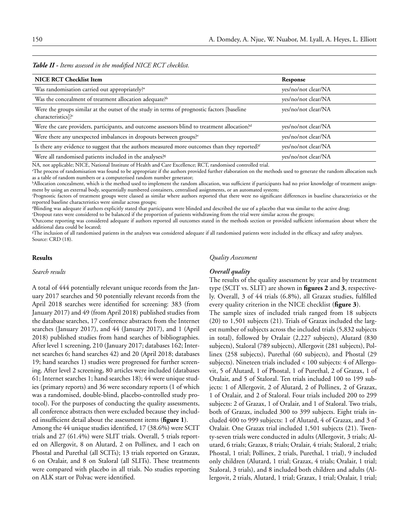# *Table II - Items assessed in the modified NICE RCT checklist.*

| <b>NICE RCT Checklist Item</b>                                                                                                | Response            |  |  |  |
|-------------------------------------------------------------------------------------------------------------------------------|---------------------|--|--|--|
| Was randomisation carried out appropriately? <sup>a</sup>                                                                     | yes/no/not clear/NA |  |  |  |
| Was the concealment of treatment allocation adequate? <sup>b</sup>                                                            | yes/no/not clear/NA |  |  |  |
| Were the groups similar at the outset of the study in terms of prognostic factors [baseline<br>characteristics]? <sup>c</sup> | yes/no/not clear/NA |  |  |  |
| Were the care providers, participants, and outcome assessors blind to treatment allocation? <sup>d</sup>                      | yes/no/not clear/NA |  |  |  |
| Were there any unexpected imbalances in dropouts between groups? <sup>e</sup>                                                 | yes/no/not clear/NA |  |  |  |
| Is there any evidence to suggest that the authors measured more outcomes than they reported? <sup><i>f</i></sup>              | yes/no/not clear/NA |  |  |  |
| Were all randomised patients included in the analyses? <sup>8</sup>                                                           | yes/no/not clear/NA |  |  |  |
|                                                                                                                               |                     |  |  |  |

NA, not applicable; NICE, National Institute of Health and Care Excellence; RCT, randomised controlled trial.

a The process of randomisation was found to be appropriate if the authors provided further elaboration on the methods used to generate the random allocation such as a table of random numbers or a computerised random number generator;

b Allocation concealment, which is the method used to implement the random allocation, was sufficient if participants had no prior knowledge of treatment assignment by using an external body, sequentially numbered containers, centralised assignments, or an automated system;

c Prognostic factors of treatment groups were classed as similar where authors reported that there were no significant differences in baseline characteristics or the reported baseline characteristics were similar across groups;

d Blinding was adequate if authors explicitly stated that participants were blinded and described the use of a placebo that was similar to the active drug;

e Dropout rates were considered to be balanced if the proportion of patients withdrawing from the trial were similar across the groups;

f Outcome reporting was considered adequate if authors reported all outcomes stated in the methods section or provided sufficient information about where the additional data could be located;

 $^{\mathrm{g}}$ The inclusion of all randomised patients in the analyses was considered adequate if all randomised patients were included in the efficacy and safety analyses. Source: CRD (18).

#### **Results**

# *Search results*

A total of 444 potentially relevant unique records from the January 2017 searches and 50 potentially relevant records from the April 2018 searches were identified for screening: 383 (from January 2017) and 49 (from April 2018) published studies from the database searches, 17 conference abstracts from the Internet searches (January 2017), and 44 (January 2017), and 1 (April 2018) published studies from hand searches of bibliographies. After level 1 screening, 210 (January 2017; databases 162; Internet searches 6; hand searches 42) and 20 (April 2018; databases 19; hand searches 1) studies were progressed for further screening. After level 2 screening, 80 articles were included (databases 61; Internet searches 1; hand searches 18); 44 were unique studies (primary reports) and 36 were secondary reports (1 of which was a randomised, double-blind, placebo-controlled study protocol). For the purposes of conducting the quality assessments, all conference abstracts then were excluded because they included insufficient detail about the assessment items (**figure 1**).

Among the 44 unique studies identified, 17 (38.6%) were SCIT trials and 27 (61.4%) were SLIT trials. Overall, 5 trials reported on Allergovit, 8 on Alutard, 2 on Pollinex, and 1 each on Phostal and Purethal (all SCITs); 13 trials reported on Grazax, 6 on Oralair, and 8 on Staloral (all SLITs). These treatments were compared with placebo in all trials. No studies reporting on ALK start or Polvac were identified.

#### *Quality Assessment*

# *Overall quality*

The results of the quality assessment by year and by treatment type (SCIT vs. SLIT) are shown in **figures 2** and **3**, respectively. Overall, 3 of 44 trials (6.8%), all Grazax studies, fulfilled every quality criterion in the NICE checklist (**figure 3**).

The sample sizes of included trials ranged from 18 subjects (20) to 1,501 subjects (21). Trials of Grazax included the largest number of subjects across the included trials (5,832 subjects in total), followed by Oralair (2,227 subjects), Alutard (830 subjects), Staloral (789 subjects), Allergovit (281 subjects), Pollinex (258 subjects), Purethal (60 subjects), and Phostal (29 subjects). Nineteen trials included < 100 subjects: 4 of Allergovit, 5 of Alutard, 1 of Phostal, 1 of Purethal, 2 of Grazax, 1 of Oralair, and 5 of Staloral. Ten trials included 100 to 199 subjects: 1 of Allergovit, 2 of Alutard, 2 of Pollinex, 2 of Grazax, 1 of Oralair, and 2 of Staloral. Four trials included 200 to 299 subjects: 2 of Grazax, 1 of Oralair, and 1 of Staloral. Two trials, both of Grazax, included 300 to 399 subjects. Eight trials included 400 to 999 subjects: 1 of Alutard, 4 of Grazax, and 3 of Oralair. One Grazax trial included 1,501 subjects (21). Twenty-seven trials were conducted in adults (Allergovit, 3 trials; Alutard, 6 trials; Grazax, 8 trials; Oralair, 4 trials; Staloral, 2 trials; Phostal, 1 trial; Pollinex, 2 trials, Purethal, 1 trial), 9 included only children (Alutard, 1 trial; Grazax, 4 trials; Oralair, 1 trial; Staloral, 3 trials), and 8 included both children and adults (Allergovit, 2 trials, Alutard, 1 trial; Grazax, 1 trial; Oralair, 1 trial;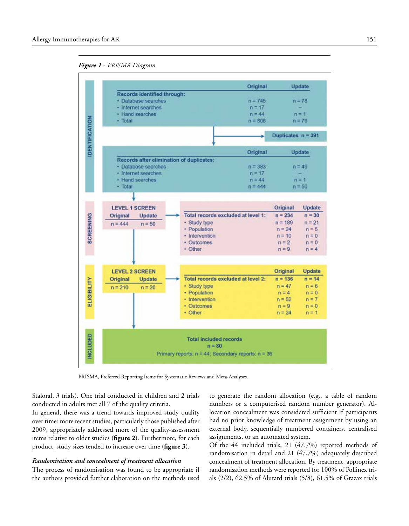*Figure 1* **-** *PRISMA Diagram.*



PRISMA, Preferred Reporting Items for Systematic Reviews and Meta-Analyses.

Staloral, 3 trials). One trial conducted in children and 2 trials conducted in adults met all 7 of the quality criteria.

In general, there was a trend towards improved study quality over time: more recent studies, particularly those published after 2009, appropriately addressed more of the quality-assessment items relative to older studies (**figure 2**). Furthermore, for each product, study sizes tended to increase over time (**figure 3**).

# *Randomisation and concealment of treatment allocation*

The process of randomisation was found to be appropriate if the authors provided further elaboration on the methods used

to generate the random allocation (e.g., a table of random numbers or a computerised random number generator). Allocation concealment was considered sufficient if participants had no prior knowledge of treatment assignment by using an external body, sequentially numbered containers, centralised assignments, or an automated system.

Of the 44 included trials, 21 (47.7%) reported methods of randomisation in detail and 21 (47.7%) adequately described concealment of treatment allocation. By treatment, appropriate randomisation methods were reported for 100% of Pollinex trials (2/2), 62.5% of Alutard trials (5/8), 61.5% of Grazax trials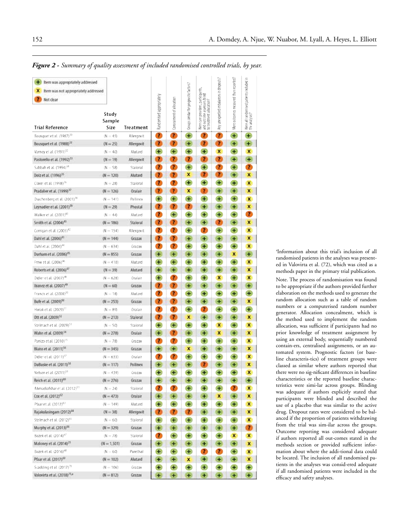reported? Hem was appropriately addressed Any unexpected imbalances in dropouts Were all randomised patients included in<br>the analyses? Groups similar for prognostic factors? Were care providers, participants,<br>and outcome assessors blind X Item was not appropriately addressed Wore outcomes measured than Randomised appropriately 7 Not clear Concealment of allocation sllocation? Study atment Sample **Trial Reference** Size Treatment  $\overline{\mathbf{z}}$  $\overline{\mathbf{r}}$  $\overline{\mathbf{r}}$  $+$  $\bullet$  $\ddot{}$  $+$ Bousquet et al. (1987)<sup>3</sup>  $(N = 45)$ Allergovit Bousquet et al. (1988)<sup>11</sup>  $(N - 25)$ Allergovit Œ  $\bullet$ Œ ä  $\overline{r}$ ÷  $\ddot{}$ Varney et al. (1991)<sup>32</sup>  $+$  $+$  $+$  $+$  $\mathbf{x}$  $\ddot{}$  $\mathbf{x}$  $(N - 40)$ Alutard Pastorello et al. (1992)<sup>11</sup>  $\bullet$  $\bullet$  $\bullet$  $\bullet$  $\bullet$  $\rightarrow$ œ  $(N = 19)$ Allergovit Sabbah et al. (1994)<sup>34</sup>  $\bullet$  $\bullet$  $+$  $+$  $\mathbf{z}$  $+$  $\mathbf{r}$  $(N = 58)$ Staloral  $\boldsymbol{x}$  $\bullet$  $\bullet$ Dolz et al. (1996)<sup>35</sup>  $\bullet$  $\bullet$  $\leftarrow$ x  $(N = 120)$ Alutard  $\overline{\mathbf{r}}$  $\overline{\mathbf{r}}$  $\left( \frac{1}{2} \right)$  $\left( \frac{1}{2} \right)$  $+$  $\rightarrow$ Clavel et al. (1998)<sup>36</sup> Staloral  $\overline{\mathbf{x}}$  $(N = 28)$ Pradalier et al. (1999)<sup>31</sup>  $\alpha$ Œ ×  $\mathbf \Omega$ Œ  $\leftarrow$ ×  $(N = 126)$ Oralair  $+$  $+$  $+$  $+$  $+$  $+$ Drachenberg et al. (2001)<sup>38</sup>  $(N = 141)$ Pollinex × Leynadier et al. (2001)<sup>39</sup> Q. Ŧ Œ Œ Œ  $\leftarrow$  $\boldsymbol{\mathsf{x}}$  $(N = 29)$ Phostal  $\overline{\mathbf{r}}$  $+$  $+$  $+$  $+$  $+$  $\overline{\mathbf{r}}$ Walker et al. (2001)<sup>46</sup> Alutard  $(N = 44)$ Smith et al. (2004)<sup>41</sup>  $(N = 186)$ Staloral Œ Œ Œ  $+$  $\bullet$  $\left( +\right)$ ×  $\mathbf{r}$  $\overline{1}$  $+$  $\mathbf{r}$  $+$ Corrigan et al. (2005)<sup>42</sup>  $+$  $\boldsymbol{\mathsf{x}}$  $(N = 154)$ Allergovit Dahl et al. (2006)<sup>41</sup> ×  $(N = 144)$ Grazax a 67 牛 œ ÷  $\leftarrow$  $\bullet$  $\overline{\mathbf{r}}$  $+$  $+$  $+$  $+$ Dahl et al. (2006)<sup>46</sup>  $(N = 634)$ Grazax  $\mathbf{x}$ Durham et al. (2006)<sup>et</sup>  $(N = 855)$ Grazax  $\mathbf{H}$  $+$ Œ  $+$  $+$ ×  $+$  $+$  $+$  $\ddot{}$ Frew et al. (2006)<sup>46</sup>  $(N = 410)$  $+$  $+$  $+$  $\pmb{\times}$ Alutard Roberts et al. (2006)<sup>47</sup>  $(N = 39)$ Alutard Œ Œ œ  $\leftarrow$  $+$  $\leftarrow$ × Didieret al. (2007)<sup>48</sup>  $+$  $\overline{\mathbf{r}}$  $+$  $+$  $\boldsymbol{\mathsf{x}}$  $+$  $\mathbf{x}$  $(N = 628)$ Oralair Ibanez et al. (2007)<sup>49</sup>  $\bullet$  $\bullet$ Œ Œ Œ Œ ۵  $(N - 60)$ Grazax Francis et al. (2008)<sup>20</sup>  $\overline{\mathbf{r}}$  $\overline{\mathbf{r}}$  $\begin{array}{c} \bullet \\ \bullet \end{array}$  $\begin{array}{c} \bullet \\ \bullet \end{array}$  $+$  $+$  $\oplus$  $(N = 18)$ Alutard Bufe et al. (2009)<sup>50</sup> a G Œ Œ Œ  $\boldsymbol{x}$  $(N = 253)$ Grazax Œ  $\overline{\mathbf{r}}$  $\overline{\mathbf{r}}$  $+$  $\overline{\mathbf{r}}$  $+$  $+$  $+$ Horak et al. (2009)<sup>5</sup>  $(N = 89)$ Oralair  $\bullet$ œ × Œ  $+$ Œ Ott et al. (2009)<sup>52</sup>  $(N = 213)$ Staloral  $\overline{\mathbf{x}}$  $+$  $+$  $\ddot{\textbf{t}}$  $+$  $\pmb{\mathsf{x}}$  $+$ Stelmach et al. (2009)<sup>53</sup>  $(N = 50)$ Staloral × Wahn et al. (2009)<sup>54</sup> Œ Œ Œ Œ ×  $+$ x  $(N = 278)$ Oralair  $\bullet$  $+$  $+$  $\bullet$  $+$  $+$ Panizo et al. (2010)<sup>55</sup> ×  $(N = 78)$ Grazax Blaiss et al. (2011)<sup>56</sup> Œ Œ Œ Œ  $\left( +\right)$ ×  $(N = 345)$ Grazax  $\mathbf x$  $\overline{\mathbf{r}}$ Didier et al. (2011)<sup>57</sup>  $\bullet$  $+$  $+$  $+$  $+$  $(N = 633)$ Oralair  $\mathbf x$ DuBuske et al. (2011)<sup>58</sup>  $\left( +\right)$ 任 Œ ×  $(N = 117)$ Pollinex  $+$ Œ  $\leftarrow$  $+$  $+$  $+$  $+$ Nelson et al. (2011)<sup>59</sup>  $(N = 439)$ Grazax  $+$  $+$ × Reich et al. (2011)<sup>60</sup>  $(N = 276)$ Grazax  $\left( +\right)$  $+$ Œ  $+$  $+$  $\ddot{}$  $+$  $\mathbf{r}$  $\overline{\mathbf{r}}$  $+$  $\overline{2}$ Ahmadiafshar et al. (2012)<sup>51</sup>  $+$  $+$  $\pmb{\times}$  $(N = 24)$ Staloral Cox et al. (2012)<sup>62</sup>  $(N - 473)$ Oralair  $+$  $+$ G Œ ×  $\left( \frac{1}{2} \right)$ × Pfaar et al. (2012)<sup>63</sup>  $\pm$  $+$  $+$  $+$  $+$  $+$  $(N = 149)$ Alutard  $\mathbf{x}$ Rajakulasingam (2012)<sup>64</sup>  $\mathbf a$ Œ  $(N = 38)$ Allergovit Ŧ Œ.  $\ddot{}$ Ð × Stelmach et al. (2012)<sup>6</sup>  $+$  $+$  $+$  $+$ Staloral  $\pm$  $+$  $\pmb{\times}$  $(N = 60)$ Murphy et al. (2013)<sup>66</sup>  $(N = 329)$ Grazax  $\pm$  $+$  $\left( \frac{1}{2} \right)$  $\mathbf{H}$  $\left( +\right)$  $+$ œ  $+$  $\bullet$  $+$  $+$  $+$  $\boldsymbol{x}$ Bozek et al. (2014)<sup>61</sup>  $(N = 78)$ Staloral  $\mathbf{x}$ Maloney et al. (2014)<sup>21</sup> Œ  $+$ Œ  $(N = 1, 501)$ Grazav  $+$  $+$  $\ddot{}$ × Bozek et al. (2016)<sup>68</sup>  $+$  $\mathbf{r}$  $\overline{\mathbf{r}}$  $+$  $(N = 60)$ Purethal  $\oplus$  $\oplus$ × Pfaar et al. (2017)<sup>60</sup>  $\pmb{\times}$  $(N = 102)$ Alutard  $\ddot{}$ Œ  $\overline{\mathbf{x}}$ Œ Œ  $\left| \cdot \right|$  $+$ Scadding et al. (2017)<sup>70</sup>  $+$  $+$  $+$  $+$  $+$  $\left( \frac{1}{2} \right)$  $(N = 106)$ Grazax Valovirta et al. (2018)<sup>71,4</sup>  $(N = 812)$ Grazax ÷ ÷ ÷  $\rightarrow$ 

a Information about this trial's inclusion of all randomised patients in the analyses was presented in Valovirta et al. (72), which was cited as a methods paper in the primary trial publication. Note. The process of randomisation was found to be appropriate if the authors provided further elaboration on the methods used to generate the random allocation such as a table of random numbers or a computerised random number generator. Allocation concealment, which is the method used to implement the random allocation, was sufficient if participants had no prior knowledge of treatment assignment by using an external body, sequentially numbered contain-ers, centralised assignments, or an automated system. Prognostic factors (or baseline characteris-tics) of treatment groups were classed as similar where authors reported that there were no sig-nificant differences in baseline characteristics or the reported baseline characteristics were simi-lar across groups. Blinding was adequate if authors explicitly stated that participants were blinded and described the use of a placebo that was similar to the active drug. Dropout rates were considered to be balanced if the proportion of patients withdrawing from the trial was sim-ilar across the groups. Outcome reporting was considered adequate if authors reported all out-comes stated in the methods section or provided sufficient information about where the addi-tional data could be located. The inclusion of all randomised patients in the analyses was consid-ered adequate if all randomised patients were included in the efficacy and safety analyses.

*Figure 2* **-** *Summary of quality assessment of included randomised controlled trials, by year.*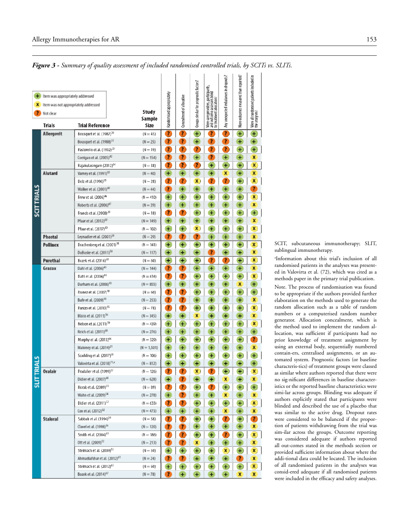|                   |                                      |                                                                                  |  |                          |                          |                           | Groups similar for prognostic factors? |                                                                                               | Any unexpected imbalances in dropo | More outcomes measured than repor | Were all randomised patients include<br>the analyses? |
|-------------------|--------------------------------------|----------------------------------------------------------------------------------|--|--------------------------|--------------------------|---------------------------|----------------------------------------|-----------------------------------------------------------------------------------------------|------------------------------------|-----------------------------------|-------------------------------------------------------|
| Ð                 | Item was appropriately addressed     |                                                                                  |  |                          |                          |                           |                                        |                                                                                               |                                    |                                   |                                                       |
| x                 | Item was not appropriately addressed |                                                                                  |  |                          |                          |                           |                                        |                                                                                               |                                    |                                   |                                                       |
| 7                 | Not clear                            |                                                                                  |  | Study                    |                          |                           |                                        |                                                                                               |                                    |                                   |                                                       |
|                   | <b>Trials</b>                        | <b>Trial Reference</b>                                                           |  | Sample<br>Size           | Randomised appropriately | Concealment of allocation |                                        | Were care providers, participants,<br>and outcome assessors blind<br>to treatment allocation? |                                    |                                   |                                                       |
|                   | Allergovit                           | Bousquet et al. (1987) <sup>30</sup>                                             |  | $(N = 45)$               | $\overline{\mathbf{r}}$  | $\overline{\mathbf{r}}$   | $+$                                    | $\overline{\mathbf{r}}$                                                                       | Ō                                  | $+$                               | $+$                                                   |
|                   |                                      | Bousquet et al. (1988) <sup>31</sup>                                             |  | $(N = 25)$               | $\overline{r}$           | Œ                         | $+$                                    | $\overline{\mathbf{r}}$                                                                       | a                                  | $\pm$                             | Đ                                                     |
|                   |                                      | Pastorello et al. (1992) <sup>33</sup>                                           |  | $(N = 19)$               | $\mathbf{r}$             | $\overline{\mathbf{r}}$   | $\overline{\mathbf{r}}$                | $\overline{\mathbf{r}}$                                                                       | $\overline{\mathbf{r}}$            | $+$                               | $+$                                                   |
|                   |                                      | Corrigan et al. (2005) <sup>42</sup>                                             |  | $(N = 154)$              | 7                        | Ø                         | $\pm$                                  | 7                                                                                             | $+$                                | $\pm$                             | X                                                     |
|                   |                                      | Rajakulasingam (2012) <sup>64</sup>                                              |  | $(N = 38)$               | 7                        | 7                         | $\overline{\mathbf{r}}$                | $+$                                                                                           | $+$                                | $+$                               | $\mathbf{x}$                                          |
|                   | Alutard                              | Varney et al. (1991) <sup>32</sup>                                               |  | $(N - 40)$               | Đ                        | $+$                       | ÷                                      | ÷                                                                                             | ×                                  | Đ                                 | ×                                                     |
|                   |                                      | Dolz et al. (1996) <sup>35</sup>                                                 |  | $(N = 28)$               | 7                        | $\mathbf{Z}$              | X                                      | 7                                                                                             | $\overline{\mathbf{r}}$            | $+$                               | $\pmb{\mathsf{x}}$                                    |
|                   |                                      | Walker et al. (2001) <sup>40</sup>                                               |  | $(N = 44)$               | 7                        | $+$                       | ÷.                                     | $+$                                                                                           | $\ddot{}$                          | ÷,                                | 7                                                     |
|                   |                                      | Frew et al. (2006) <sup>46</sup>                                                 |  | $(N = 410)$              | $+$                      | $+$                       | $^{+}$                                 | $\ddot{}$                                                                                     | $+$                                | $+$                               | $\pmb{\chi}$                                          |
|                   |                                      | Roberts et al. (2006) <sup>47</sup>                                              |  | $(N = 39)$               | Đ                        | $\pm$                     | ÷.                                     | ×                                                                                             | Đ                                  | Đ                                 | x                                                     |
| <b>SCITTRIALS</b> |                                      | Francis et al. (2008) <sup>20</sup>                                              |  | $(N = 18)$               | $\overline{\mathbf{r}}$  | $\overline{\mathbf{r}}$   | $+$                                    | $+$                                                                                           | $+$                                | $+$                               | $+$                                                   |
|                   |                                      | Pfaar et al. (2012) <sup>63</sup>                                                |  | $(N = 149)$              | ÷.                       | ÷                         | ÷                                      | ÷                                                                                             | ÷,                                 | $+$                               | x                                                     |
|                   |                                      | Pfaar et al. (2017) <sup>69</sup>                                                |  | $(N = 102)$              | $+$                      | $+$                       | x                                      | $+$                                                                                           | $+$                                | $+$                               | X)                                                    |
|                   | Phostal                              | Leynadier et al. (2001) <sup>39</sup>                                            |  | $(N - 29)$               | 7                        | 7                         | 7                                      | Ŧ                                                                                             | ÷.                                 | Ŧ,                                | x                                                     |
|                   | Pollinex                             | Drachenberg et al. (2001) <sup>38</sup>                                          |  | $(N = 141)$              | $+$                      | $+$                       | $\pm$                                  | Ŧ                                                                                             | $+$                                | $+$                               | $\mathbf{x}$                                          |
|                   |                                      | DuBuske et al. (2011) <sup>SB</sup>                                              |  | $(N = 117)$              | ÷,                       | +                         | ÷                                      | $\overline{\mathbf{r}}$                                                                       | ÷                                  | ÷.                                | X                                                     |
|                   | Purethal                             | Bozek et al. (2016) <sup>68</sup>                                                |  | $(N = 60)$               | $+$                      | $+$                       | $+$                                    | 7                                                                                             | $\overline{\mathbf{r}}$            | $\ddot{}$                         | $\mathbf{x}$                                          |
|                   | Grazax                               | Dahl et al. (2006) <sup>43</sup>                                                 |  | $(N = 144)$              | $\mathbf{r}$             | Œ                         | $+$                                    | $\pm$                                                                                         | Đ                                  | ÷,                                | x                                                     |
|                   |                                      | Dahl et al. (2006) <sup>44</sup>                                                 |  | $(N = 634)$              | 7                        | $\overline{\mathbf{r}}$   | ÷                                      | $+$                                                                                           | ÷.                                 | $+$                               | $\mathbf{x}$                                          |
|                   |                                      | Durham et al. (2006) <sup>45</sup>                                               |  | $(N = 855)$              | $\pm$                    | $+$                       | ÷                                      | ÷                                                                                             | ÷,                                 | x                                 | ÷                                                     |
|                   |                                      | Ibanez et al. (2007) <sup>49</sup>                                               |  | $(N = 60)$               | $\overline{\mathbf{r}}$  | $\bullet$                 | $\pm$                                  | ÷                                                                                             | ÷                                  | $+$                               | $+$                                                   |
|                   |                                      | Bufe et al. (2009) <sup>50</sup>                                                 |  | $(N = 253)$              | 7                        | $\mathbf{z}$              | $\pm$                                  | Đ                                                                                             | $\ddot{}$                          | $\ddot{}$                         | x                                                     |
|                   |                                      | Panizo et al. (2010) <sup>55</sup>                                               |  | $(N = 78)$               | $\overline{\mathbf{r}}$  | $\overline{?}$            | $+$                                    | $+$                                                                                           | $+$                                | $+$                               | $\mathbf{x}$                                          |
|                   |                                      | Blaiss et al. (2011) <sup>56</sup>                                               |  | $(N = 345)$              | $+$                      | $+$                       | x                                      | ÷                                                                                             | $\ddot{}$                          | Ð                                 | x                                                     |
|                   |                                      | Nelson et al. (2011) <sup>59</sup>                                               |  | $(N = 439)$              | $+$                      | $+$                       | $+$                                    | $+$                                                                                           | $+$                                | $+$                               | $\mathbf{x}$                                          |
|                   |                                      | Reich et al. (2011) <sup>60</sup>                                                |  | $(N = 276)$              | $+$                      | $+$                       | $+$                                    | $+$                                                                                           | $+$                                | $+$                               | $+$                                                   |
|                   |                                      | Murphy et al. (2013) <sup>66</sup>                                               |  | $(N = 329)$              | $+$                      | $+$                       | $\ddot{}$                              | $+$                                                                                           | $+$                                | $+$                               | $\overline{\mathbf{r}}$                               |
|                   |                                      | Maloney et al. (2014) <sup>21</sup>                                              |  | $(N = 1,501)$            | $+$                      | $+$                       | $\pm$                                  | $+$                                                                                           | $+$                                | $+$                               | x                                                     |
|                   |                                      | Scadding et al. (2017) <sup>70</sup>                                             |  | $(N = 106)$              | $+$                      | $+$                       | $+$                                    | $+$                                                                                           | $+$                                | $+$                               | $+$                                                   |
|                   |                                      | Valovirta et al. (2018) <sup>71,a</sup>                                          |  | $(N - 812)$              | $\ddot{}$                | ÷                         | ÷                                      | ÷                                                                                             | ÷                                  | ÷,                                | ÷                                                     |
| <b>SLITTRIALS</b> | <b>Oralair</b>                       | Pradalier et al. (1999) <sup>37</sup>                                            |  | $(N = 126)$              | 7                        | $\overline{\mathbf{r}}$   | X                                      | 7                                                                                             | $+$                                | $+$                               | X                                                     |
|                   |                                      | Didier et al. (2007) <sup>48</sup>                                               |  | $(N - 628)$              | Đ                        | $\overline{r}$            | Đ                                      | $\ddot{}$                                                                                     | x                                  | ÷                                 | x                                                     |
|                   |                                      | Horak et al. (2009) <sup>51</sup>                                                |  | $(N = 89)$               | 7                        | 7                         | $+$                                    | 7                                                                                             | $+$                                | $+$                               | $+$                                                   |
|                   |                                      | Wahn et al. (2009) <sup>54</sup>                                                 |  | $(N = 278)$              | Ŧ,                       | z                         | ÷,                                     | $\pm$                                                                                         | x                                  | ÷,                                | x                                                     |
|                   |                                      | Didier et al. (2011) <sup>57</sup>                                               |  | $(N = 633)$              | $\overline{\mathbf{r}}$  | $\mathbf{z}$              | $+$                                    | $\pm$                                                                                         | ÷                                  | $\pm$                             | $\mathbf{x}$                                          |
|                   |                                      | Cox et al. (2012) <sup>62</sup>                                                  |  | $(N = 473)$              | Đ                        | $_{\pm}$                  | Đ                                      | ÷,                                                                                            | x                                  | Đ                                 | x                                                     |
|                   | <b>Staloral</b>                      | Sabbah et al. (1994) <sup>34</sup>                                               |  | $(N = 58)$               | $\mathbf{z}$             | $\bullet$                 | $+$                                    | $+$                                                                                           | $\mathbf{r}$                       | $+$                               | $\overline{\mathbf{r}}$                               |
|                   |                                      | Clavel et al. (1998) <sup>36</sup>                                               |  | $(N = 120)$              | D                        | O                         | $\pm$                                  | $\pm$                                                                                         | $+$                                | $\pm$                             | x                                                     |
|                   |                                      | Smith et al. (2004) <sup>41</sup>                                                |  | $(N = 186)$              | Ø                        | B                         | $+$                                    | $\pm$                                                                                         | Ø                                  | $+$                               | $\mathbf{x}$                                          |
|                   |                                      | Ott et al. (2009) <sup>52</sup>                                                  |  | $(N = 213)$              | 3                        | Ø                         | x                                      | $\pm$                                                                                         | $\pm$                              | $\pm$                             | x                                                     |
|                   |                                      | Stelmach et al. (2009) <sup>53</sup><br>Ahmadiafshar et al. (2012) <sup>61</sup> |  | $(N = 50)$               | $+$                      | $+$                       | $+$                                    | $+$                                                                                           | $\mathbf{x}$                       | $+$                               | $\mathbf{x}$                                          |
|                   |                                      | Stelmach et al. (2012) <sup>65</sup>                                             |  | $(N = 24)$               | D                        | Ø                         | $+$                                    | Ŧ,                                                                                            | $\ddot{}$                          | Ø                                 | x                                                     |
|                   |                                      | Bozek et al. (2014) <sup>67</sup>                                                |  | $(N = 60)$<br>$(N = 78)$ | $+$<br>7                 | $+$<br>$\ddot{}$          | $+$                                    | $+$<br>÷.                                                                                     | $\pm$<br>$\ddot{}$                 | $+$<br>x                          | $\mathbf{x}$<br>X.                                    |
|                   |                                      |                                                                                  |  |                          |                          |                           | $\pm$                                  |                                                                                               |                                    |                                   |                                                       |

*Figure 3 - Summary of quality assessment of included randomised controlled trials, by SCITs vs. SLITs.*

SCIT, subcutaneous immunotherapy; SLIT, sublingual immunotherapy.

a Information about this trial's inclusion of all randomised patients in the analyses was presented in Valovirta et al. (72), which was cited as a methods paper in the primary trial publication.

Note. The process of randomisation was found to be appropriate if the authors provided further elaboration on the methods used to generate the random allocation such as a table of random numbers or a computerised random number generator. Allocation concealment, which is the method used to implement the random allocation, was sufficient if participants had no prior knowledge of treatment assignment by using an external body, sequentially numbered contain-ers, centralised assignments, or an automated system. Prognostic factors (or baseline characteris-tics) of treatment groups were classed as similar where authors reported that there were no sig-nificant differences in baseline characteristics or the reported baseline characteristics were simi-lar across groups. Blinding was adequate if authors explicitly stated that participants were blinded and described the use of a placebo that was similar to the active drug. Dropout rates were considered to be balanced if the proportion of patients withdrawing from the trial was sim-ilar across the groups. Outcome reporting was considered adequate if authors reported all out-comes stated in the methods section or provided sufficient information about where the addi-tional data could be located. The inclusion of all randomised patients in the analyses was consid-ered adequate if all randomised patients were included in the efficacy and safety analyses.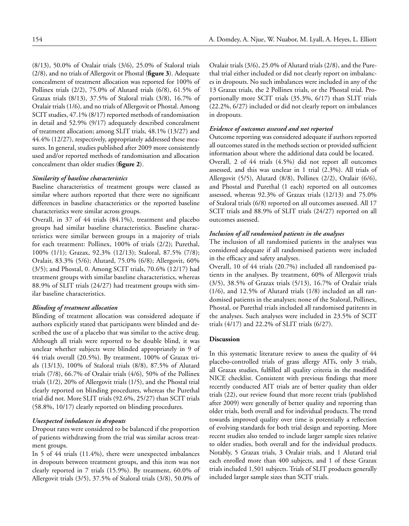(8/13), 50.0% of Oralair trials (3/6), 25.0% of Staloral trials (2/8), and no trials of Allergovit or Phostal (**figure 3**). Adequate concealment of treatment allocation was reported for 100% of Pollinex trials (2/2), 75.0% of Alutard trials (6/8), 61.5% of Grazax trials (8/13), 37.5% of Staloral trials (3/8), 16.7% of Oralair trials (1/6), and no trials of Allergovit or Phostal. Among SCIT studies, 47.1% (8/17) reported methods of randomisation in detail and 52.9% (9/17) adequately described concealment of treatment allocation; among SLIT trials, 48.1% (13/27) and 44.4% (12/27), respectively, appropriately addressed these measures. In general, studies published after 2009 more consistently used and/or reported methods of randomisation and allocation concealment than older studies (**figure 2**).

# *Similarity of baseline characteristics*

Baseline characteristics of treatment groups were classed as similar where authors reported that there were no significant differences in baseline characteristics or the reported baseline characteristics were similar across groups.

Overall, in 37 of 44 trials (84.1%), treatment and placebo groups had similar baseline characteristics. Baseline characteristics were similar between groups in a majority of trials for each treatment: Pollinex, 100% of trials (2/2); Purethal, 100% (1/1); Grazax, 92.3% (12/13); Staloral, 87.5% (7/8); Oralair, 83.3% (5/6); Alutard, 75.0% (6/8); Allergovit, 60% (3/5); and Phostal, 0. Among SCIT trials, 70.6% (12/17) had treatment groups with similar baseline characteristics, whereas 88.9% of SLIT trials (24/27) had treatment groups with similar baseline characteristics.

#### *Blinding of treatment allocation*

Blinding of treatment allocation was considered adequate if authors explicitly stated that participants were blinded and described the use of a placebo that was similar to the active drug. Although all trials were reported to be double blind, it was unclear whether subjects were blinded appropriately in 9 of 44 trials overall (20.5%). By treatment, 100% of Grazax trials (13/13), 100% of Staloral trials (8/8), 87.5% of Alutard trials (7/8), 66.7% of Oralair trials (4/6), 50% of the Pollinex trials (1/2), 20% of Allergovit trials (1/5), and the Phostal trial clearly reported on blinding procedures, whereas the Purethal trial did not. More SLIT trials (92.6%, 25/27) than SCIT trials (58.8%, 10/17) clearly reported on blinding procedures.

# *Unexpected imbalances in dropouts*

Dropout rates were considered to be balanced if the proportion of patients withdrawing from the trial was similar across treatment groups.

In 5 of 44 trials (11.4%), there were unexpected imbalances in dropouts between treatment groups, and this item was not clearly reported in 7 trials (15.9%). By treatment, 60.0% of Allergovit trials (3/5), 37.5% of Staloral trials (3/8), 50.0% of Oralair trials (3/6), 25.0% of Alutard trials (2/8), and the Purethal trial either included or did not clearly report on imbalances in dropouts. No such imbalances were included in any of the 13 Grazax trials, the 2 Pollinex trials, or the Phostal trial. Proportionally more SCIT trials (35.3%, 6/17) than SLIT trials (22.2%, 6/27) included or did not clearly report on imbalances in dropouts.

# *Evidence of outcomes assessed and not reported*

Outcome reporting was considered adequate if authors reported all outcomes stated in the methods section or provided sufficient information about where the additional data could be located. Overall, 2 of 44 trials (4.5%) did not report all outcomes assessed, and this was unclear in 1 trial (2.3%). All trials of Allergovit (5/5), Alutard (8/8), Pollinex (2/2), Oralair (6/6), and Phostal and Purethal (1 each) reported on all outcomes assessed, whereas 92.3% of Grazax trials (12/13) and 75.0% of Staloral trials (6/8) reported on all outcomes assessed. All 17 SCIT trials and 88.9% of SLIT trials (24/27) reported on all outcomes assessed.

# *Inclusion of all randomised patients in the analyses*

The inclusion of all randomised patients in the analyses was considered adequate if all randomised patients were included in the efficacy and safety analyses.

Overall, 10 of 44 trials (20.7%) included all randomised patients in the analyses. By treatment, 60% of Allergovit trials (3/5), 38.5% of Grazax trials (5/13), 16.7% of Oralair trials (1/6), and 12.5% of Alutard trials (1/8) included an all randomised patients in the analyses; none of the Staloral, Pollinex, Phostal, or Purethal trials included all randomised patitents in the analyses. Such analyses were included in 23.5% of SCIT trials (4/17) and 22.2% of SLIT trials (6/27).

#### **Discussion**

In this systematic literature review to assess the quality of 44 placebo-controlled trials of grass allergy AITs, only 3 trials, all Grazax studies, fulfilled all quality criteria in the modified NICE checklist. Consistent with previous findings that more recently conducted AIT trials are of better quality than older trials (22), our review found that more recent trials (published after 2009) were generally of better quality and reporting than older trials, both overall and for individual products. The trend towards improved quality over time is potentially a reflection of evolving standards for both trial design and reporting. More recent studies also tended to include larger sample sizes relative to older studies, both overall and for the individual products. Notably, 5 Grazax trials, 3 Oralair trials, and 1 Alutard trial each enrolled more than 400 subjects, and 1 of these Grazax trials included 1,501 subjects. Trials of SLIT products generally included larger sample sizes than SCIT trials.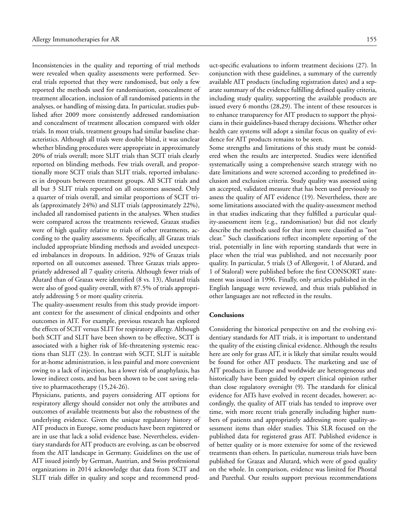Inconsistencies in the quality and reporting of trial methods were revealed when quality assessments were performed. Several trials reported that they were randomised, but only a few reported the methods used for randomisation, concealment of treatment allocation, inclusion of all randomised patients in the analyses, or handling of missing data. In particular, studies published after 2009 more consistently addressed randomisation and concealment of treatment allocation compared with older trials. In most trials, treatment groups had similar baseline characteristics. Although all trials were double blind, it was unclear whether blinding procedures were appropriate in approximately 20% of trials overall; more SLIT trials than SCIT trials clearly reported on blinding methods. Few trials overall, and proportionally more SCIT trials than SLIT trials, reported imbalances in dropouts between treatment groups. All SCIT trials and all but 3 SLIT trials reported on all outcomes assessed. Only a quarter of trials overall, and similar proportions of SCIT trials (approximately 24%) and SLIT trials (approximately 22%), included all randomised patients in the analyses. When studies were compared across the treatments reviewed, Grazax studies were of high quality relative to trials of other treatments, according to the quality assessments. Specifically, all Grazax trials included appropriate blinding methods and avoided unexpected imbalances in dropouts. In addition, 92% of Grazax trials reported on all outcomes assessed. Three Grazax trials appropriately addressed all 7 quality criteria. Although fewer trials of Alutard than of Grazax were identified (8 vs. 13), Alutard trials were also of good quality overall, with 87.5% of trials appropriately addressing 5 or more quality criteria.

The quality-assessment results from this study provide important context for the assessment of clinical endpoints and other outcomes in AIT. For example, previous research has explored the effects of SCIT versus SLIT for respiratory allergy. Although both SCIT and SLIT have been shown to be effective, SCIT is associated with a higher risk of life-threatening systemic reactions than SLIT (23). In contrast with SCIT, SLIT is suitable for at-home administration, is less painful and more convenient owing to a lack of injection, has a lower risk of anaphylaxis, has lower indirect costs, and has been shown to be cost saving relative to pharmacotherapy (15,24-26).

Physicians, patients, and payers considering AIT options for respiratory allergy should consider not only the attributes and outcomes of available treatments but also the robustness of the underlying evidence. Given the unique regulatory history of AIT products in Europe, some products have been registered or are in use that lack a solid evidence base. Nevertheless, evidentiary standards for AIT products are evolving, as can be observed from the AIT landscape in Germany. Guidelines on the use of AIT issued jointly by German, Austrian, and Swiss professional organizations in 2014 acknowledge that data from SCIT and SLIT trials differ in quality and scope and recommend prod-

uct-specific evaluations to inform treatment decisions (27). In conjunction with these guidelines, a summary of the currently available AIT products (including registration dates) and a separate summary of the evidence fulfilling defined quality criteria, including study quality, supporting the available products are issued every 6 months (28,29). The intent of these resources is to enhance transparency for AIT products to support the physicians in their guidelines-based therapy decisions. Whether other health care systems will adopt a similar focus on quality of evidence for AIT products remains to be seen.

Some strengths and limitations of this study must be considered when the results are interpreted. Studies were identified systematically using a comprehensive search strategy with no date limitations and were screened according to predefined inclusion and exclusion criteria. Study quality was assessed using an accepted, validated measure that has been used previously to assess the quality of AIT evidence (19). Nevertheless, there are some limitations associated with the quality-assessment method in that studies indicating that they fulfilled a particular quality-assessment item (e.g., randomisation) but did not clearly describe the methods used for that item were classified as "not clear." Such classifications reflect incomplete reporting of the trial, potentially in line with reporting standards that were in place when the trial was published, and not necessarily poor quality. In particular, 5 trials (3 of Allergovit, 1 of Alutard, and 1 of Staloral) were published before the first CONSORT statement was issued in 1996. Finally, only articles published in the English language were reviewed, and thus trials published in other languages are not reflected in the results.

#### **Conclusions**

Considering the historical perspective on and the evolving evidentiary standards for AIT trials, it is important to understand the quality of the existing clinical evidence. Although the results here are only for grass AIT, it is likely that similar results would be found for other AIT products. The marketing and use of AIT products in Europe and worldwide are heterogeneous and historically have been guided by expert clinical opinion rather than close regulatory oversight (9). The standards for clinical evidence for AITs have evolved in recent decades, however; accordingly, the quality of AIT trials has tended to improve over time, with more recent trials generally including higher numbers of patients and appropriately addressing more quality-assessment items than older studies. This SLR focused on the published data for registered grass AIT. Published evidence is of better quality or is more extensive for some of the reviewed treatments than others. In particular, numerous trials have been published for Grazax and Alutard, which were of good quality on the whole. In comparison, evidence was limited for Phostal and Purethal. Our results support previous recommendations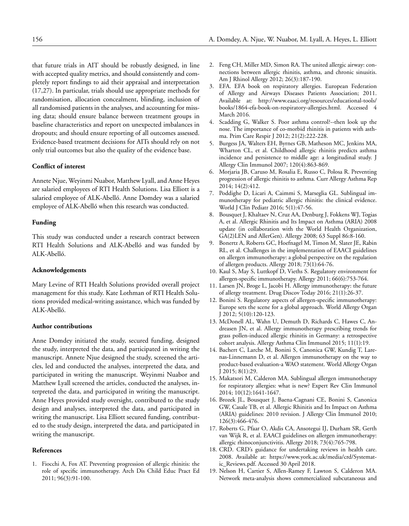that future trials in AIT should be robustly designed, in line with accepted quality metrics, and should consistently and completely report findings to aid their appraisal and interpretation (17,27). In particular, trials should use appropriate methods for randomisation, allocation concealment, blinding, inclusion of all randomised patients in the analyses, and accounting for missing data; should ensure balance between treatment groups in baseline characteristics and report on unexpected imbalances in dropouts; and should ensure reporting of all outcomes assessed. Evidence-based treatment decisions for AITs should rely on not only trial outcomes but also the quality of the evidence base.

# **Conflict of interest**

Annete Njue, Weyinmi Nuabor, Matthew Lyall, and Anne Heyes are salaried employees of RTI Health Solutions. Lisa Elliott is a salaried employee of ALK-Abelló. Anne Domdey was a salaried employee of ALK-Abelló when this research was conducted.

# **Funding**

This study was conducted under a research contract between RTI Health Solutions and ALK-Abelló and was funded by ALK-Abelló.

# **Acknowledgements**

Mary Levine of RTI Health Solutions provided overall project management for this study. Kate Lothman of RTI Health Solutions provided medical-writing assistance, which was funded by ALK-Abelló.

# **Author contributions**

Anne Domdey initiated the study, secured funding, designed the study, interpreted the data, and participated in writing the manuscript. Annete Njue designed the study, screened the articles, led and conducted the analyses, interpreted the data, and participated in writing the manuscript. Weyinmi Nuabor and Matthew Lyall screened the articles, conducted the analyses, interpreted the data, and participated in writing the manuscript. Anne Heyes provided study oversight, contributed to the study design and analyses, interpreted the data, and participated in writing the manuscript. Lisa Elliott secured funding, contributed to the study design, interpreted the data, and participated in writing the manuscript.

# **References**

1. Fiocchi A, Fox AT. Preventing progression of allergic rhinitis: the role of specific immunotherapy. Arch Dis Child Educ Pract Ed 2011; 96(3):91-100.

- 2. Feng CH, Miller MD, Simon RA. The united allergic airway: connections between allergic rhinitis, asthma, and chronic sinusitis. Am J Rhinol Allergy 2012; 26(3):187-190.
- 3. EFA. EFA book on respiratory allergies. European Federation of Allergy and Airways Diseases Patients Association; 2011. Available at: http://www.eaaci.org/resources/educational-tools/ books/1864-efa-book-on-respiratory-allergies.html. Accessed 4 March 2016.
- 4. Scadding G, Walker S. Poor asthma control?--then look up the nose. The importance of co-morbid rhinitis in patients with asthma. Prim Care Respir J 2012; 21(2):222-228.
- 5. Burgess JA, Walters EH, Byrnes GB, Matheson MC, Jenkins MA, Wharton CL, et al. Childhood allergic rhinitis predicts asthma incidence and persistence to middle age: a longitudinal study. J Allergy Clin Immunol 2007; 120(4):863-869.
- 6. Morjaria JB, Caruso M, Rosalia E, Russo C, Polosa R. Preventing progression of allergic rhinitis to asthma. Curr Allergy Asthma Rep 2014; 14(2):412.
- 7. Poddighe D, Licari A, Caimmi S, Marseglia GL. Sublingual immunotherapy for pediatric allergic rhinitis: the clinical evidence. World J Clin Pediatr 2016; 5(1):47-56.
- 8. Bousquet J, Khaltaev N, Cruz AA, Denburg J, Fokkens WJ, Togias A, et al. Allergic Rhinitis and Its Impact on Asthma (ARIA) 2008 update (in collaboration with the World Health Organization, GA(2)LEN and AllerGen). Allergy 2008; 63 Suppl 86:8-160.
- 9. Bonertz A, Roberts GC, Hoefnagel M, Timon M, Slater JE, Rabin RL, et al. Challenges in the implementation of EAACI guidelines on allergen immunotherapy: a global perspective on the regulation of allergen products. Allergy 2018; 73(1):64-76.
- 10. Kaul S, May S, Luttkopf D, Vieths S. Regulatory environment for allergen-specific immunotherapy. Allergy 2011; 66(6):753-764.
- 11. Larsen JN, Broge L, Jacobi H. Allergy immunotherapy: the future of allergy treatment. Drug Discov Today 2016; 21(1):26-37.
- 12. Bonini S. Regulatory aspects of allergen-specific immunotherapy: Europe sets the scene for a global approach. World Allergy Organ J 2012; 5(10):120-123.
- 13. McDonell AL, Wahn U, Demuth D, Richards C, Hawes C, Andreasen JN, et al. Allergy immunotherapy prescribing trends for grass pollen-induced allergic rhinitis in Germany: a retrospective cohort analysis. Allergy Asthma Clin Immunol 2015; 11(1):19.
- 14. Bachert C, Larche M, Bonini S, Canonica GW, Kundig T, Larenas-Linnemann D, et al. Allergen immunotherapy on the way to product-based evaluation-a WAO statement. World Allergy Organ J 2015; 8(1):29.
- 15. Makatsori M, Calderon MA. Sublingual allergen immunotherapy for respiratory allergies: what is new? Expert Rev Clin Immunol 2014; 10(12):1641-1647.
- 16. Brozek JL, Bousquet J, Baena-Cagnani CE, Bonini S, Canonica GW, Casale TB, et al. Allergic Rhinitis and Its Impact on Asthma (ARIA) guidelines: 2010 revision. J Allergy Clin Immunol 2010; 126(3):466-476.
- 17. Roberts G, Pfaar O, Akdis CA, Ansotegui IJ, Durham SR, Gerth van Wijk R, et al. EAACI guidelines on allergen immunotherapy: allergic rhinoconjunctivitis. Allergy 2018; 73(4):765-798.
- 18. CRD. CRD's guidance for undertaking reviews in health care. 2008. Available at: https://www.york.ac.uk/media/crd/Systematic\_Reviews.pdf. Accessed 30 April 2018.
- 19. Nelson H, Cartier S, Allen-Ramey F, Lawton S, Calderon MA. Network meta-analysis shows commercialized subcutaneous and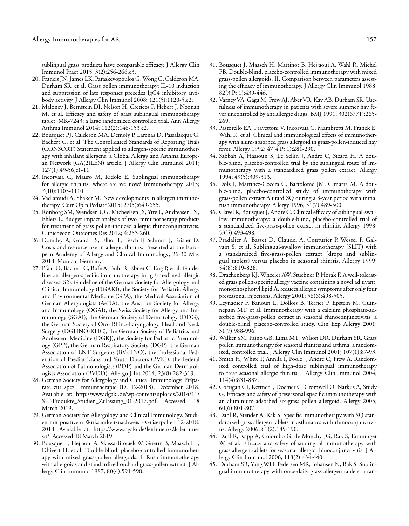sublingual grass products have comparable efficacy. J Allergy Clin Immunol Pract 2015; 3(2):256-266.e3.

- 20. Francis JN, James LK, Paraskevopoulos G, Wong C, Calderon MA, Durham SR, et al. Grass pollen immunotherapy: IL-10 induction and suppression of late responses precedes IgG4 inhibitory antibody activity. J Allergy Clin Immunol 2008; 121(5):1120-5.e2.
- 21. Maloney J, Bernstein DI, Nelson H, Creticos P, Hebert J, Noonan M, et al. Efficacy and safety of grass sublingual immunotherapy tablet, MK-7243: a large randomized controlled trial. Ann Allergy Asthma Immunol 2014; 112(2):146-153 e2.
- 22. Bousquet PJ, Calderon MA, Demoly P, Larenas D, Passalacqua G, Bachert C, et al. The Consolidated Standards of Reporting Trials (CONSORT) Statement applied to allergen-specific immunotherapy with inhalant allergens: a Global Allergy and Asthma European Network (GA(2)LEN) article. J Allergy Clin Immunol 2011; 127(1):49-56,e1-11.
- 23. Incorvaia C, Mauro M, Ridolo E. Sublingual immunotherapy for allergic rhinitis: where are we now? Immunotherapy 2015; 7(10):1105-1110.
- 24. Vadlamudi A, Shaker M. New developments in allergen immunotherapy. Curr Opin Pediatr 2015; 27(5):649-655.
- 25. Ronborg SM, Svendsen UG, Micheelsen JS, Ytte L, Andreasen JN, Ehlers L. Budget impact analysis of two immunotherapy products for treatment of grass pollen-induced allergic rhinoconjunctivitis. Clinicoecon Outcomes Res 2012; 4:253-260.
- 26. Domdey A, Grand TS, Elliot L, Tesch F, Schmitt J, Küster D. Costs and resource use in allergic rhinitis. Presented at the European Academy of Allergy and Clinical Immunology; 26-30 May 2018. Munich, Germany.
- 27. Pfaar O, Bachert C, Bufe A, Buhl R, Ebner C, Eng P, et al. Guideline on allergen-specific immunotherapy in IgE-mediated allergic diseases: S2k Guideline of the German Society for Allergology and Clinical Immunology (DGAKI), the Society for Pediatric Allergy and Environmental Medicine (GPA), the Medical Association of German Allergologists (AeDA), the Austrian Society for Allergy and Immunology (OGAI), the Swiss Society for Allergy and Immunology (SGAI), the German Society of Dermatology (DDG), the German Society of Oto- Rhino-Laryngology, Head and Neck Surgery (DGHNO-KHC), the German Society of Pediatrics and Adolescent Medicine (DGKJ), the Society for Pediatric Pneumology (GPP), the German Respiratory Society (DGP), the German Association of ENT Surgeons (BV-HNO), the Professional Federation of Paediatricians and Youth Doctors (BVKJ), the Federal Association of Pulmonologists (BDP) and the German Dermatologists Association (BVDD). Allergo J Int 2014; 23(8):282-319.
- 28. German Society for Allergology and Clinical Immunology. Präparate zur spez. Immuntherapie (D, 12-2018). December 2018. Available at: http://www.dgaki.de/wp-content/uploads/2014/11/ SIT-Produkte\_Studien\_Zulassung\_01-2017.pdf Accessed 18 March 2019.
- 29. German Society for Allergology and Clinical Immunology. Studien mit positivem Wirksamkeitsnachweis - Gräserpollen 12-2018. 2018. Available at: https://www.dgaki.de/leitlinien/s2k-leitliniesit/. Accessed 18 March 2019.
- 30. Bousquet J, Hejjaoui A, Skassa-Brociek W, Guerin B, Maasch HJ, Dhivert H, et al. Double-blind, placebo-controlled immunotherapy with mixed grass-pollen allergoids. I. Rush immunotherapy with allergoids and standardized orchard grass-pollen extract. J Allergy Clin Immunol 1987; 80(4):591-598.
- 31. Bousquet J, Maasch H, Martinot B, Hejjaoui A, Wahl R, Michel FB. Double-blind, placebo-controlled immunotherapy with mixed grass-pollen allergoids. II. Comparison between parameters assessing the efficacy of immunotherapy. J Allergy Clin Immunol 1988; 82(3 Pt 1):439-446.
- 32. Varney VA, Gaga M, Frew AJ, Aber VR, Kay AB, Durham SR. Usefulness of immunotherapy in patients with severe summer hay fever uncontrolled by antiallergic drugs. BMJ 1991; 302(6771):265- 269.
- 33. Pastorello EA, Pravettoni V, Incorvaia C, Mambretti M, Franck E, Wahl R, et al. Clinical and immunological effects of immunotherapy with alum-absorbed grass allergoid in grass-pollen-induced hay fever. Allergy 1992; 47(4 Pt 1):281-290.
- 34. Sabbah A, Hassoun S, Le Sellin J, Andre C, Sicard H. A double-blind, placebo-controlled trial by the sublingual route of immunotherapy with a standardized grass pollen extract. Allergy 1994; 49(5):309-313.
- 35. Dolz I, Martinez-Cocera C, Bartolome JM, Cimarra M. A double-blind, placebo-controlled study of immunotherapy with grass-pollen extract Alutard SQ during a 3-year period with initial rush immunotherapy. Allergy 1996; 51(7):489-500.
- 36. Clavel R, Bousquet J, Andre C. Clinical efficacy of sublingual-swallow immunotherapy: a double-blind, placebo-controlled trial of a standardized five-grass-pollen extract in rhinitis. Allergy 1998; 53(5):493-498.
- 37. Pradalier A, Basset D, Claudel A, Couturier P, Wessel F, Galvain S, et al. Sublingual-swallow immunotherapy (SLIT) with a standardized five-grass-pollen extract (drops and sublingual tablets) versus placebo in seasonal rhinitis. Allergy 1999; 54(8):819-828.
- 38. Drachenberg KJ, Wheeler AW, Stuebner P, Horak F. A well-tolerated grass pollen-specific allergy vaccine containing a novel adjuvant, monophosphoryl lipid A, reduces allergic symptoms after only four preseasonal injections. Allergy 2001; 56(6):498-505.
- 39. Leynadier F, Banoun L, Dollois B, Terrier P, Epstein M, Guinnepain MT, et al. Immunotherapy with a calcium phosphate-adsorbed five-grass-pollen extract in seasonal rhinoconjunctivitis: a double-blind, placebo-controlled study. Clin Exp Allergy 2001; 31(7):988-996.
- 40. Walker SM, Pajno GB, Lima MT, Wilson DR, Durham SR. Grass pollen immunotherapy for seasonal rhinitis and asthma: a randomized, controlled trial. J Allergy Clin Immunol 2001; 107(1):87-93.
- 41. Smith H, White P, Annila I, Poole J, Andre C, Frew A. Randomized controlled trial of high-dose sublingual immunotherapy to treat seasonal allergic rhinitis. J Allergy Clin Immunol 2004; 114(4):831-837.
- 42. Corrigan CJ, Kettner J, Doemer C, Cromwell O, Narkus A, Study G. Efficacy and safety of preseasonal-specific immunotherapy with an aluminium-adsorbed six-grass pollen allergoid. Allergy 2005; 60(6):801-807.
- 43. Dahl R, Stender A, Rak S. Specific immunotherapy with SQ standardized grass allergen tablets in asthmatics with rhinoconjunctivitis. Allergy 2006; 61(2):185-190.
- 44. Dahl R, Kapp A, Colombo G, de Monchy JG, Rak S, Emminger W, et al. Efficacy and safety of sublingual immunotherapy with grass allergen tablets for seasonal allergic rhinoconjunctivitis. J Allergy Clin Immunol 2006; 118(2):434-440.
- 45. Durham SR, Yang WH, Pedersen MR, Johansen N, Rak S. Sublingual immunotherapy with once-daily grass allergen tablets: a ran-